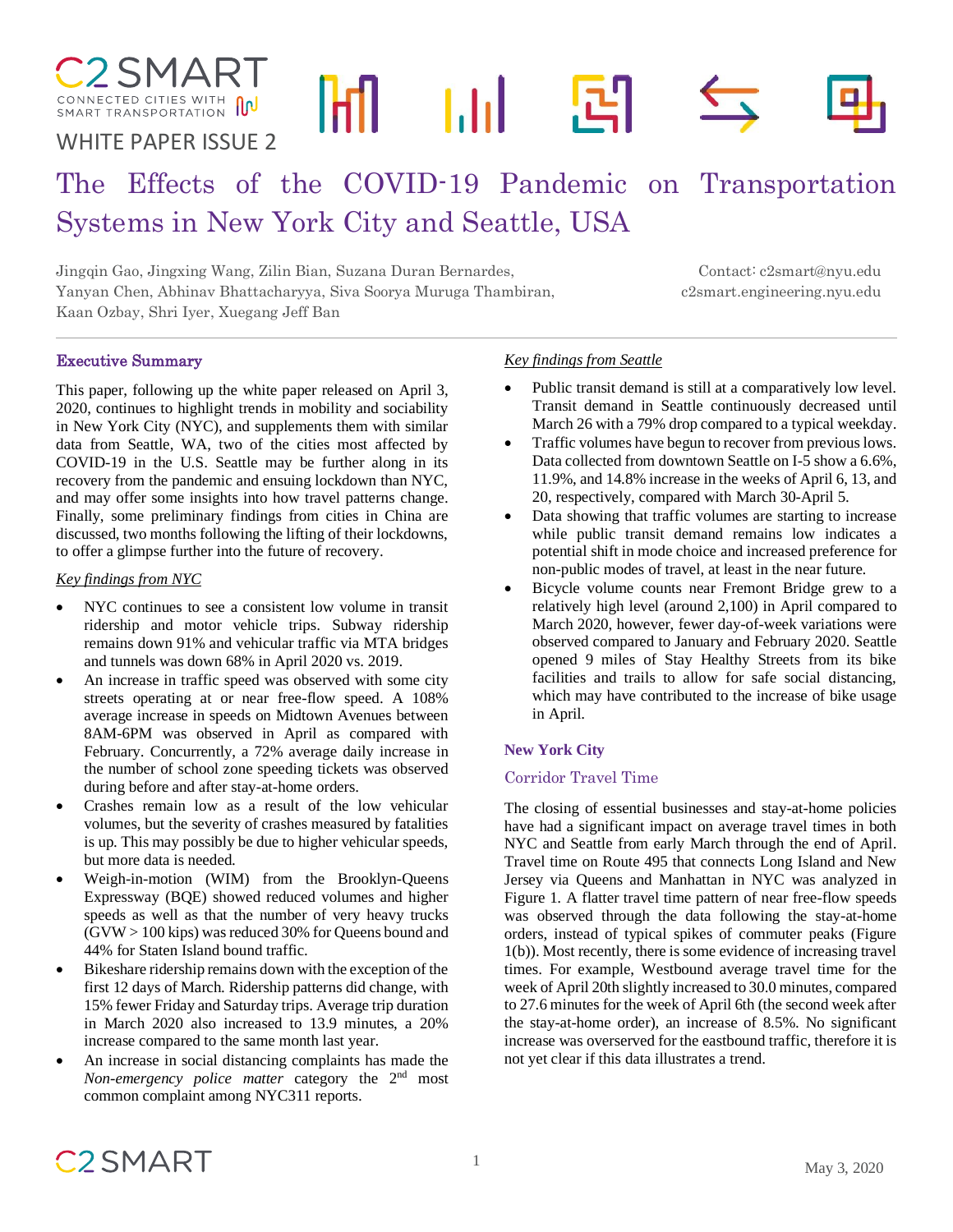

# WHITE PAPER ISSUE 2

# The Effects of the COVID-19 Pandemic on Transportation Systems in New York City and Seattle, USA

 $\mathbf{L}$ 

Jingqin Gao, Jingxing Wang, Zilin Bian, Suzana Duran Bernardes, Yanyan Chen, Abhinav Bhattacharyya, Siva Soorya Muruga Thambiran, Kaan Ozbay, Shri Iyer, Xuegang Jeff Ban

l Fil

Contact: c2smart@nyu.edu c2smart.engineering.nyu.edu

# Executive Summary

This paper, following up the white paper released on April 3, 2020, continues to highlight trends in mobility and sociability in New York City (NYC), and supplements them with similar data from Seattle, WA, two of the cities most affected by COVID-19 in the U.S. Seattle may be further along in its recovery from the pandemic and ensuing lockdown than NYC, and may offer some insights into how travel patterns change. Finally, some preliminary findings from cities in China are discussed, two months following the lifting of their lockdowns, to offer a glimpse further into the future of recovery.

#### *Key findings from NYC*

- NYC continues to see a consistent low volume in transit ridership and motor vehicle trips. Subway ridership remains down 91% and vehicular traffic via MTA bridges and tunnels was down 68% in April 2020 vs. 2019.
- An increase in traffic speed was observed with some city streets operating at or near free-flow speed. A 108% average increase in speeds on Midtown Avenues between 8AM-6PM was observed in April as compared with February. Concurrently, a 72% average daily increase in the number of school zone speeding tickets was observed during before and after stay-at-home orders.
- Crashes remain low as a result of the low vehicular volumes, but the severity of crashes measured by fatalities is up. This may possibly be due to higher vehicular speeds, but more data is needed.
- Weigh-in-motion (WIM) from the Brooklyn-Queens Expressway (BQE) showed reduced volumes and higher speeds as well as that the number of very heavy trucks (GVW > 100 kips) was reduced 30% for Queens bound and 44% for Staten Island bound traffic.
- Bikeshare ridership remains down with the exception of the first 12 days of March. Ridership patterns did change, with 15% fewer Friday and Saturday trips. Average trip duration in March 2020 also increased to 13.9 minutes, a 20% increase compared to the same month last year.
- An increase in social distancing complaints has made the *Non-emergency police matter* category the 2nd most common complaint among NYC311 reports.

#### *Key findings from Seattle*

- Public transit demand is still at a comparatively low level. Transit demand in Seattle continuously decreased until March 26 with a 79% drop compared to a typical weekday.
- Traffic volumes have begun to recover from previous lows. Data collected from downtown Seattle on I-5 show a 6.6%, 11.9%, and 14.8% increase in the weeks of April 6, 13, and 20, respectively, compared with March 30-April 5.
- Data showing that traffic volumes are starting to increase while public transit demand remains low indicates a potential shift in mode choice and increased preference for non-public modes of travel, at least in the near future.
- Bicycle volume counts near Fremont Bridge grew to a relatively high level (around 2,100) in April compared to March 2020, however, fewer day-of-week variations were observed compared to January and February 2020. Seattle opened 9 miles of Stay Healthy Streets from its bike facilities and trails to allow for safe social distancing, which may have contributed to the increase of bike usage in April.

# **New York City**

# Corridor Travel Time

The closing of essential businesses and stay-at-home policies have had a significant impact on average travel times in both NYC and Seattle from early March through the end of April. Travel time on Route 495 that connects Long Island and New Jersey via Queens and Manhattan in NYC was analyzed in [Figure 1.](#page-1-0) A flatter travel time pattern of near free-flow speeds was observed through the data following the stay-at-home orders, instead of typical spikes of commuter peaks [\(Figure](#page-1-0)  [1\(](#page-1-0)b)). Most recently, there is some evidence of increasing travel times. For example, Westbound average travel time for the week of April 20th slightly increased to 30.0 minutes, compared to 27.6 minutes for the week of April 6th (the second week after the stay-at-home order), an increase of 8.5%. No significant increase was overserved for the eastbound traffic, therefore it is not yet clear if this data illustrates a trend.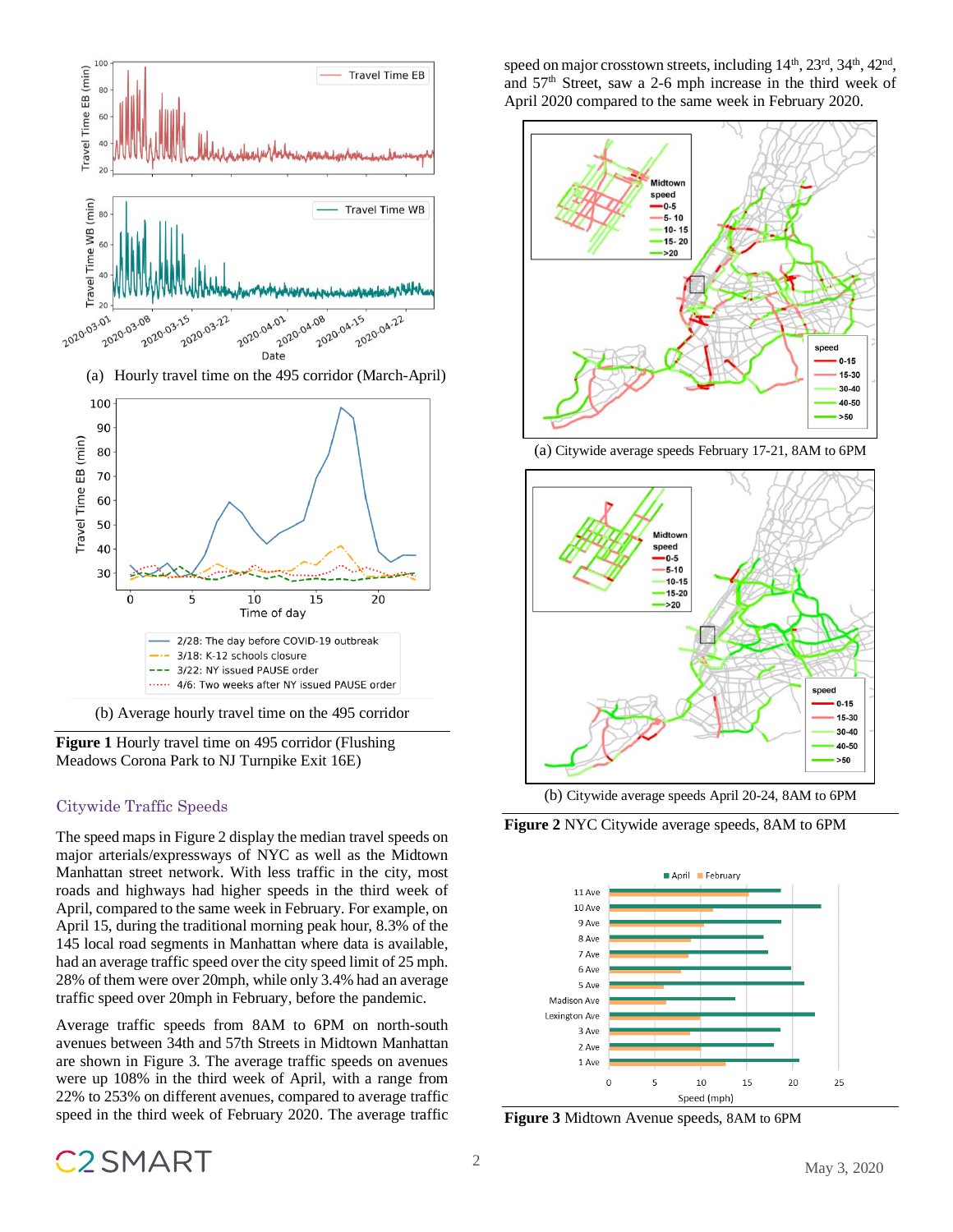

<span id="page-1-0"></span>**Figure 1** Hourly travel time on 495 corridor (Flushing Meadows Corona Park to NJ Turnpike Exit 16E)

# Citywide Traffic Speeds

The speed maps in [Figure 2](#page-1-1) display the median travel speeds on major arterials/expressways of NYC as well as the Midtown Manhattan street network. With less traffic in the city, most roads and highways had higher speeds in the third week of April, compared to the same week in February. For example, on April 15, during the traditional morning peak hour, 8.3% of the 145 local road segments in Manhattan where data is available, had an average traffic speed over the city speed limit of 25 mph. 28% of them were over 20mph, while only 3.4% had an average traffic speed over 20mph in February, before the pandemic.

Average traffic speeds from 8AM to 6PM on north-south avenues between 34th and 57th Streets in Midtown Manhattan are shown in [Figure 3.](#page-1-2) The average traffic speeds on avenues were up 108% in the third week of April, with a range from 22% to 253% on different avenues, compared to average traffic speed in the third week of February 2020. The average traffic

speed on major crosstown streets, including  $14<sup>th</sup>$ ,  $23<sup>rd</sup>$ ,  $34<sup>th</sup>$ ,  $42<sup>nd</sup>$ , and 57th Street, saw a 2-6 mph increase in the third week of April 2020 compared to the same week in February 2020.



(a) Citywide average speeds February 17-21, 8AM to 6PM



(b) Citywide average speeds April 20-24, 8AM to 6PM

<span id="page-1-1"></span>**Figure 2** NYC Citywide average speeds, 8AM to 6PM



<span id="page-1-2"></span>**Figure 3** Midtown Avenue speeds, 8AM to 6PM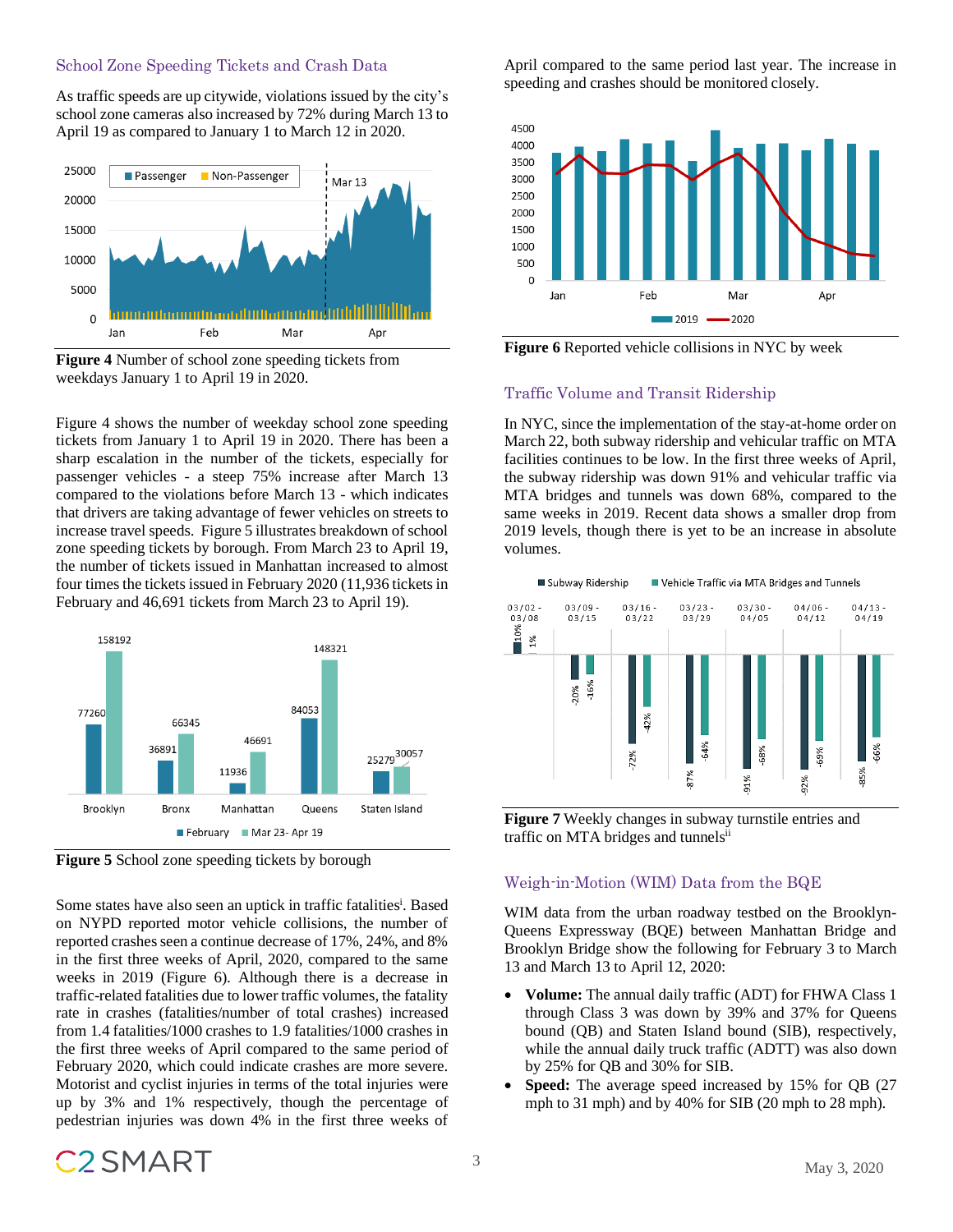#### School Zone Speeding Tickets and Crash Data

As traffic speeds are up citywide, violations issued by the city's school zone cameras also increased by 72% during March 13 to April 19 as compared to January 1 to March 12 in 2020.



<span id="page-2-0"></span>**Figure 4** Number of school zone speeding tickets from weekdays January 1 to April 19 in 2020.

[Figure 4](#page-2-0) shows the number of weekday school zone speeding tickets from January 1 to April 19 in 2020. There has been a sharp escalation in the number of the tickets, especially for passenger vehicles - a steep 75% increase after March 13 compared to the violations before March 13 - which indicates that drivers are taking advantage of fewer vehicles on streets to increase travel speeds. [Figure 5](#page-2-1) illustrates breakdown of school zone speeding tickets by borough. From March 23 to April 19, the number of tickets issued in Manhattan increased to almost four times the tickets issued in February 2020 (11,936 tickets in February and 46,691 tickets from March 23 to April 19).



<span id="page-2-1"></span>**Figure 5** School zone speeding tickets by borough

Some states have also seen an uptick in traffic fatalities<sup>i</sup>. Based on NYPD reported motor vehicle collisions, the number of reported crashes seen a continue decrease of 17%, 24%, and 8% in the first three weeks of April, 2020, compared to the same weeks in 2019 [\(Figure 6\)](#page-2-2). Although there is a decrease in traffic-related fatalities due to lower traffic volumes, the fatality rate in crashes (fatalities/number of total crashes) increased from 1.4 fatalities/1000 crashes to 1.9 fatalities/1000 crashes in the first three weeks of April compared to the same period of February 2020, which could indicate crashes are more severe. Motorist and cyclist injuries in terms of the total injuries were up by 3% and 1% respectively, though the percentage of pedestrian injuries was down 4% in the first three weeks of

April compared to the same period last year. The increase in speeding and crashes should be monitored closely.



<span id="page-2-2"></span>**Figure 6** Reported vehicle collisions in NYC by week

# Traffic Volume and Transit Ridership

In NYC, since the implementation of the stay-at-home order on March 22, both subway ridership and vehicular traffic on MTA facilities continues to be low. In the first three weeks of April, the subway ridership was down 91% and vehicular traffic via MTA bridges and tunnels was down 68%, compared to the same weeks in 2019. Recent data shows a smaller drop from 2019 levels, though there is yet to be an increase in absolute volumes.



**Figure 7** Weekly changes in subway turnstile entries and traffic on MTA bridges and tunnelsii

# Weigh-in-Motion (WIM) Data from the BQE

WIM data from the urban roadway testbed on the Brooklyn-Queens Expressway (BQE) between Manhattan Bridge and Brooklyn Bridge show the following for February 3 to March 13 and March 13 to April 12, 2020:

- **Volume:** The annual daily traffic (ADT) for FHWA Class 1 through Class 3 was down by 39% and 37% for Queens bound (QB) and Staten Island bound (SIB), respectively, while the annual daily truck traffic (ADTT) was also down by 25% for QB and 30% for SIB.
- Speed: The average speed increased by 15% for QB (27 mph to 31 mph) and by 40% for SIB (20 mph to 28 mph).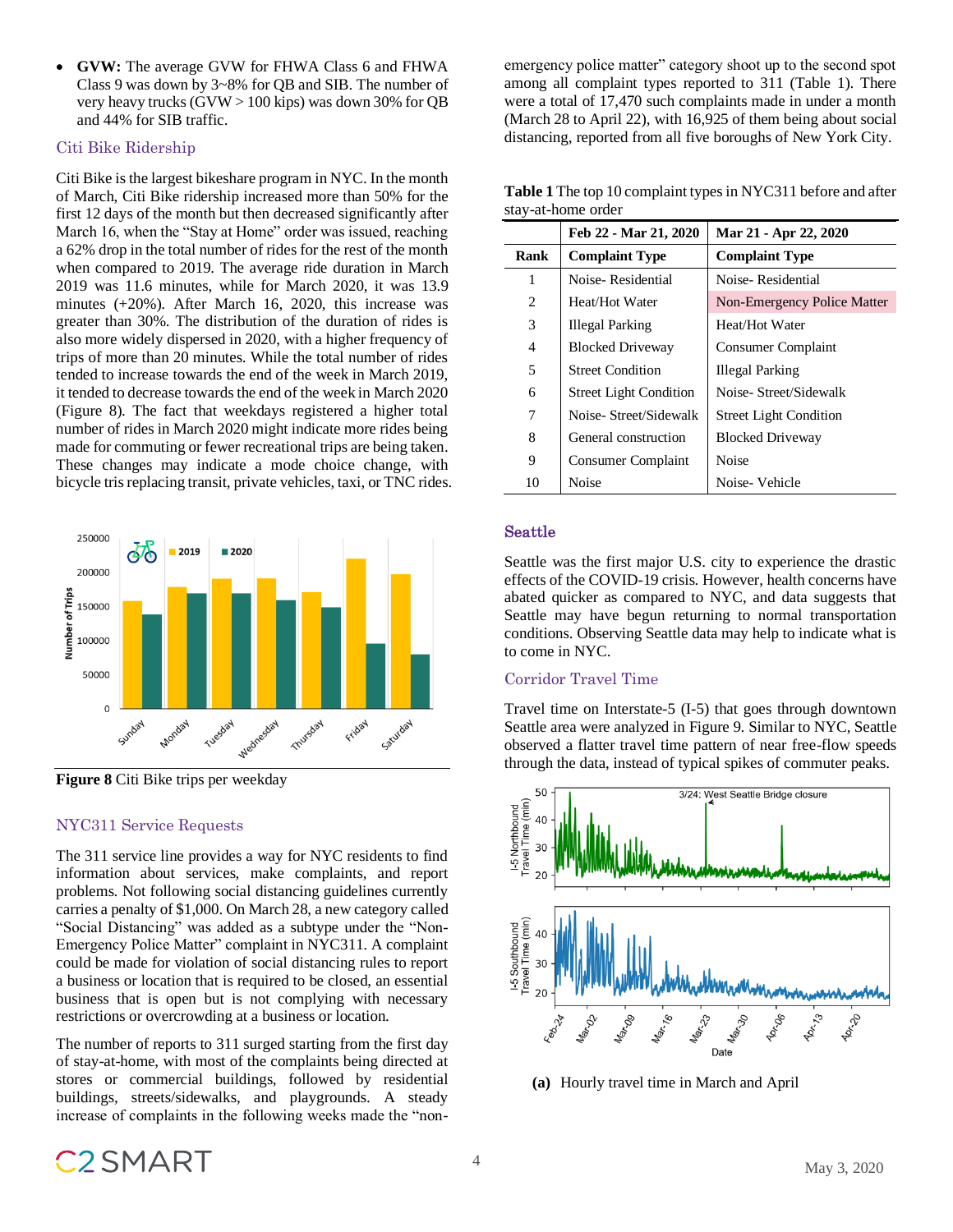• **GVW:** The average GVW for FHWA Class 6 and FHWA Class 9 was down by 3~8% for QB and SIB. The number of very heavy trucks (GVW > 100 kips) was down 30% for QB and 44% for SIB traffic.

# Citi Bike Ridership

Citi Bike is the largest bikeshare program in NYC. In the month of March, Citi Bike ridership increased more than 50% for the first 12 days of the month but then decreased significantly after March 16, when the "Stay at Home" order was issued, reaching a 62% drop in the total number of rides for the rest of the month when compared to 2019. The average ride duration in March 2019 was 11.6 minutes, while for March 2020, it was 13.9 minutes (+20%). After March 16, 2020, this increase was greater than 30%. The distribution of the duration of rides is also more widely dispersed in 2020, with a higher frequency of trips of more than 20 minutes. While the total number of rides tended to increase towards the end of the week in March 2019, it tended to decrease towards the end of the week in March 2020 [\(Figure 8\)](#page-3-0). The fact that weekdays registered a higher total number of rides in March 2020 might indicate more rides being made for commuting or fewer recreational trips are being taken. These changes may indicate a mode choice change, with bicycle tris replacing transit, private vehicles, taxi, or TNC rides.



<span id="page-3-0"></span>**Figure 8** Citi Bike trips per weekday

# NYC311 Service Requests

The 311 service line provides a way for NYC residents to find information about services, make complaints, and report problems. Not following social distancing guidelines currently carries a penalty of \$1,000. On March 28, a new category called "Social Distancing" was added as a subtype under the "Non-Emergency Police Matter" complaint in NYC311. A complaint could be made for violation of social distancing rules to report a business or location that is required to be closed, an essential business that is open but is not complying with necessary restrictions or overcrowding at a business or location.

The number of reports to 311 surged starting from the first day of stay-at-home, with most of the complaints being directed at stores or commercial buildings, followed by residential buildings, streets/sidewalks, and playgrounds. A steady increase of complaints in the following weeks made the "nonemergency police matter" category shoot up to the second spot among all complaint types reported to 311 [\(Table 1\)](#page-3-1). There were a total of 17,470 such complaints made in under a month (March 28 to April 22), with 16,925 of them being about social distancing, reported from all five boroughs of New York City.

|                             | Feb 22 - Mar 21, 2020         | Mar 21 - Apr 22, 2020         |
|-----------------------------|-------------------------------|-------------------------------|
| Rank                        | <b>Complaint Type</b>         | <b>Complaint Type</b>         |
| 1                           | Noise-Residential             | Noise-Residential             |
| $\mathcal{D}_{\mathcal{L}}$ | Heat/Hot Water                | Non-Emergency Police Matter   |
| 3                           | Illegal Parking               | Heat/Hot Water                |
| 4                           | <b>Blocked Driveway</b>       | Consumer Complaint            |
| 5                           | <b>Street Condition</b>       | <b>Illegal Parking</b>        |
| 6                           | <b>Street Light Condition</b> | Noise-Street/Sidewalk         |
| 7                           | Noise-Street/Sidewalk         | <b>Street Light Condition</b> |
| 8                           | General construction          | <b>Blocked Driveway</b>       |
| 9                           | Consumer Complaint            | Noise                         |
| 10                          | <b>Noise</b>                  | Noise-Vehicle                 |

<span id="page-3-1"></span>**Table 1** The top 10 complaint types in NYC311 before and after stay-at-home order

# Seattle

Seattle was the first major U.S. city to experience the drastic effects of the COVID-19 crisis. However, health concerns have abated quicker as compared to NYC, and data suggests that Seattle may have begun returning to normal transportation conditions. Observing Seattle data may help to indicate what is to come in NYC.

# Corridor Travel Time

Travel time on Interstate-5 (I-5) that goes through downtown Seattle area were analyzed in [Figure 9.](#page-4-0) Similar to NYC, Seattle observed a flatter travel time pattern of near free-flow speeds through the data, instead of typical spikes of commuter peaks.



**(a)** Hourly travel time in March and April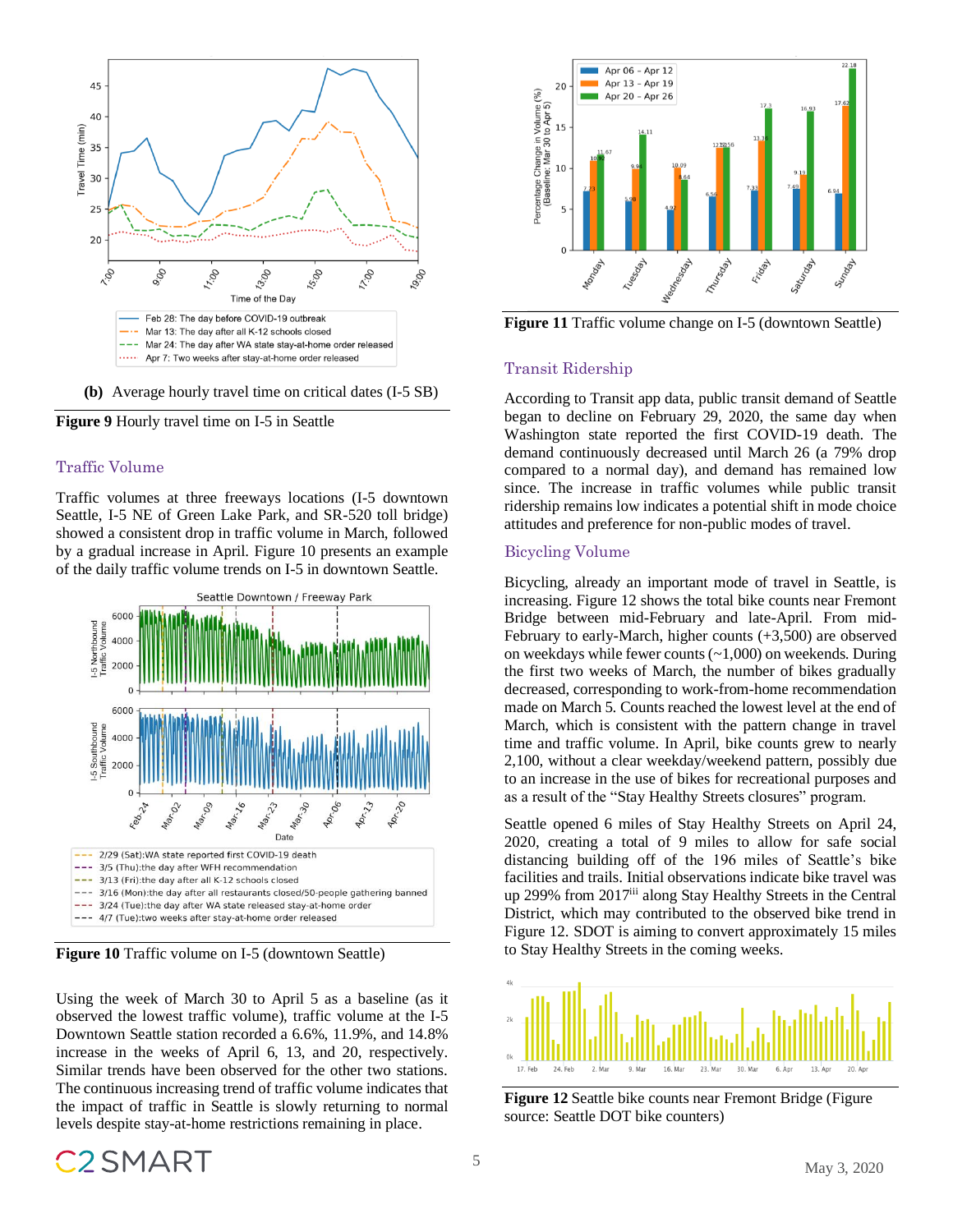

**(b)** Average hourly travel time on critical dates (I-5 SB)

<span id="page-4-0"></span>

# Traffic Volume

Traffic volumes at three freeways locations (I-5 downtown Seattle, I-5 NE of Green Lake Park, and SR-520 toll bridge) showed a consistent drop in traffic volume in March, followed by a gradual increase in April. [Figure 10](#page-4-1) presents an example of the daily traffic volume trends on I-5 in downtown Seattle.



<span id="page-4-1"></span>**Figure 10** Traffic volume on I-5 (downtown Seattle)

Using the week of March 30 to April 5 as a baseline (as it observed the lowest traffic volume), traffic volume at the I-5 Downtown Seattle station recorded a 6.6%, 11.9%, and 14.8% increase in the weeks of April 6, 13, and 20, respectively. Similar trends have been observed for the other two stations. The continuous increasing trend of traffic volume indicates that the impact of traffic in Seattle is slowly returning to normal levels despite stay-at-home restrictions remaining in place.



**Figure 11** Traffic volume change on I-5 (downtown Seattle)

# Transit Ridership

According to Transit app data, public transit demand of Seattle began to decline on February 29, 2020, the same day when Washington state reported the first COVID-19 death. The demand continuously decreased until March 26 (a 79% drop compared to a normal day), and demand has remained low since. The increase in traffic volumes while public transit ridership remains low indicates a potential shift in mode choice attitudes and preference for non-public modes of travel.

# Bicycling Volume

Bicycling, already an important mode of travel in Seattle, is increasing. [Figure 12](#page-4-2) shows the total bike counts near Fremont Bridge between mid-February and late-April. From mid-February to early-March, higher counts (+3,500) are observed on weekdays while fewer counts (~1,000) on weekends. During the first two weeks of March, the number of bikes gradually decreased, corresponding to work-from-home recommendation made on March 5. Counts reached the lowest level at the end of March, which is consistent with the pattern change in travel time and traffic volume. In April, bike counts grew to nearly 2,100, without a clear weekday/weekend pattern, possibly due to an increase in the use of bikes for recreational purposes and as a result of the "Stay Healthy Streets closures" program.

Seattle opened 6 miles of Stay Healthy Streets on April 24, 2020, creating a total of 9 miles to allow for safe social distancing building off of the 196 miles of Seattle's bike facilities and trails. Initial observations indicate bike travel was up 299% from 2017iii along Stay Healthy Streets in the Central District, which may contributed to the observed bike trend in [Figure 12.](#page-4-2) SDOT is aiming to convert approximately 15 miles to Stay Healthy Streets in the coming weeks.



<span id="page-4-2"></span>**Figure 12** Seattle bike counts near Fremont Bridge (Figure source: Seattle DOT bike counters)